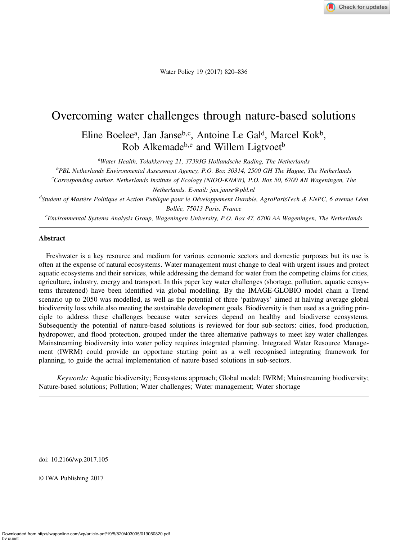

Water Policy 19 (2017) 820–836

# Overcoming water challenges through nature-based solutions

Eline Boelee<sup>a</sup>, Jan Janse<sup>b, c</sup>, Antoine Le Gal<sup>d</sup>, Marcel Kok<sup>b</sup>, Rob Alkemade<sup>b,e</sup> and Willem Ligtvoet<sup>b</sup>

<sup>a</sup>Water Health, Tolakkerweg 21, 3739JG Hollandsche Rading, The Netherlands

<sup>b</sup>PBL Netherlands Environmental Assessment Agency, P.O. Box 30314, 2500 GH The Hague, The Netherlands

<sup>c</sup>Corresponding author. Netherlands Institute of Ecology (NIOO-KNAW), P.O. Box 50, 6700 AB Wageningen, The Netherlands. E-mail: [jan.janse@pbl.nl](mailto:jan.janse@pbl.nl)

<sup>d</sup>Student of Mastère Politique et Action Publique pour le Développement Durable, AgroParisTech & ENPC, 6 avenue Léon Bollée, 75013 Paris, France

e Environmental Systems Analysis Group, Wageningen University, P.O. Box 47, 6700 AA Wageningen, The Netherlands

## Abstract

Freshwater is a key resource and medium for various economic sectors and domestic purposes but its use is often at the expense of natural ecosystems. Water management must change to deal with urgent issues and protect aquatic ecosystems and their services, while addressing the demand for water from the competing claims for cities, agriculture, industry, energy and transport. In this paper key water challenges (shortage, pollution, aquatic ecosystems threatened) have been identified via global modelling. By the IMAGE-GLOBIO model chain a Trend scenario up to 2050 was modelled, as well as the potential of three 'pathways' aimed at halving average global biodiversity loss while also meeting the sustainable development goals. Biodiversity is then used as a guiding principle to address these challenges because water services depend on healthy and biodiverse ecosystems. Subsequently the potential of nature-based solutions is reviewed for four sub-sectors: cities, food production, hydropower, and flood protection, grouped under the three alternative pathways to meet key water challenges. Mainstreaming biodiversity into water policy requires integrated planning. Integrated Water Resource Management (IWRM) could provide an opportune starting point as a well recognised integrating framework for planning, to guide the actual implementation of nature-based solutions in sub-sectors.

Keywords: Aquatic biodiversity; Ecosystems approach; Global model; IWRM; Mainstreaming biodiversity; Nature-based solutions; Pollution; Water challenges; Water management; Water shortage

doi: 10.2166/wp.2017.105

© IWA Publishing 2017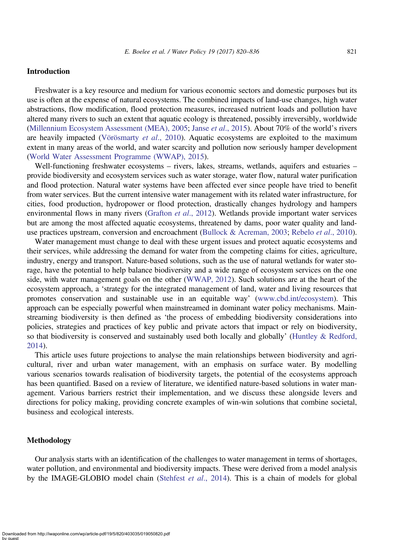# Introduction

Freshwater is a key resource and medium for various economic sectors and domestic purposes but its use is often at the expense of natural ecosystems. The combined impacts of land-use changes, high water abstractions, flow modification, flood protection measures, increased nutrient loads and pollution have altered many rivers to such an extent that aquatic ecology is threatened, possibly irreversibly, worldwide ([Millennium Ecosystem Assessment \(MEA\), 2005](#page-14-0); Janse *et al.*, 2015). About 70% of the world's rivers are heavily impacted [\(Vörösmarty](#page-16-0) et al., 2010). Aquatic ecosystems are exploited to the maximum extent in many areas of the world, and water scarcity and pollution now seriously hamper development ([World Water Assessment Programme \(WWAP\), 2015\)](#page-16-0).

Well-functioning freshwater ecosystems – rivers, lakes, streams, wetlands, aquifers and estuaries – provide biodiversity and ecosystem services such as water storage, water flow, natural water purification and flood protection. Natural water systems have been affected ever since people have tried to benefit from water services. But the current intensive water management with its related water infrastructure, for cities, food production, hydropower or flood protection, drastically changes hydrology and hampers environmental flows in many rivers ([Grafton](#page-14-0) et al., 2012). Wetlands provide important water services but are among the most affected aquatic ecosystems, threatened by dams, poor water quality and land-use practices upstream, conversion and encroachment [\(Bullock & Acreman, 2003](#page-13-0); Rebelo *et al.*, 2010).

Water management must change to deal with these urgent issues and protect aquatic ecosystems and their services, while addressing the demand for water from the competing claims for cities, agriculture, industry, energy and transport. Nature-based solutions, such as the use of natural wetlands for water storage, have the potential to help balance biodiversity and a wide range of ecosystem services on the one side, with water management goals on the other [\(WWAP, 2012](#page-16-0)). Such solutions are at the heart of the ecosystem approach, a 'strategy for the integrated management of land, water and living resources that promotes conservation and sustainable use in an equitable way' [\(www.cbd.int/ecosystem\)](http://www.cbd.int/ecosystem). This approach can be especially powerful when mainstreamed in dominant water policy mechanisms. Mainstreaming biodiversity is then defined as 'the process of embedding biodiversity considerations into policies, strategies and practices of key public and private actors that impact or rely on biodiversity, so that biodiversity is conserved and sustainably used both locally and globally' ([Huntley & Redford,](#page-14-0) [2014](#page-14-0)).

This article uses future projections to analyse the main relationships between biodiversity and agricultural, river and urban water management, with an emphasis on surface water. By modelling various scenarios towards realisation of biodiversity targets, the potential of the ecosystems approach has been quantified. Based on a review of literature, we identified nature-based solutions in water management. Various barriers restrict their implementation, and we discuss these alongside levers and directions for policy making, providing concrete examples of win-win solutions that combine societal, business and ecological interests.

## Methodology

Our analysis starts with an identification of the challenges to water management in terms of shortages, water pollution, and environmental and biodiversity impacts. These were derived from a model analysis by the IMAGE-GLOBIO model chain [\(Stehfest](#page-15-0) et al., 2014). This is a chain of models for global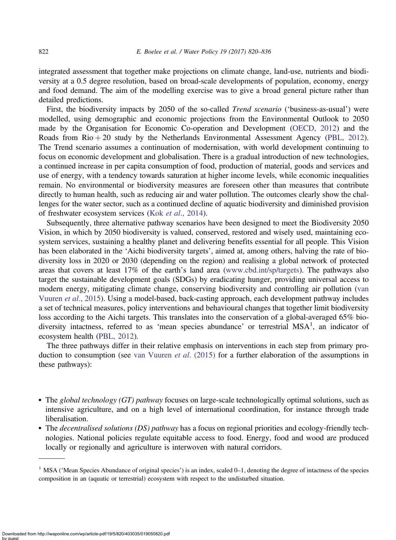integrated assessment that together make projections on climate change, land-use, nutrients and biodiversity at a 0.5 degree resolution, based on broad-scale developments of population, economy, energy and food demand. The aim of the modelling exercise was to give a broad general picture rather than detailed predictions.

First, the biodiversity impacts by 2050 of the so-called *Trend scenario* ('business-as-usual') were modelled, using demographic and economic projections from the Environmental Outlook to 2050 made by the Organisation for Economic Co-operation and Development [\(OECD, 2012\)](#page-15-0) and the Roads from  $\text{Rio} + 20$  study by the Netherlands Environmental Assessment Agency ([PBL, 2012\)](#page-15-0). The Trend scenario assumes a continuation of modernisation, with world development continuing to focus on economic development and globalisation. There is a gradual introduction of new technologies, a continued increase in per capita consumption of food, production of material, goods and services and use of energy, with a tendency towards saturation at higher income levels, while economic inequalities remain. No environmental or biodiversity measures are foreseen other than measures that contribute directly to human health, such as reducing air and water pollution. The outcomes clearly show the challenges for the water sector, such as a continued decline of aquatic biodiversity and diminished provision of freshwater ecosystem services (Kok et al[., 2014](#page-14-0)).

Subsequently, three alternative pathway scenarios have been designed to meet the Biodiversity 2050 Vision, in which by 2050 biodiversity is valued, conserved, restored and wisely used, maintaining ecosystem services, sustaining a healthy planet and delivering benefits essential for all people. This Vision has been elaborated in the 'Aichi biodiversity targets', aimed at, among others, halving the rate of biodiversity loss in 2020 or 2030 (depending on the region) and realising a global network of protected areas that covers at least 17% of the earth's land area ([www.cbd.int/sp/targets\)](http://www.cbd.int/sp/targets). The pathways also target the sustainable development goals (SDGs) by eradicating hunger, providing universal access to modern energy, mitigating climate change, conserving biodiversity and controlling air pollution [\(van](#page-15-0) [Vuuren](#page-15-0) et al., 2015). Using a model-based, back-casting approach, each development pathway includes a set of technical measures, policy interventions and behavioural changes that together limit biodiversity loss according to the Aichi targets. This translates into the conservation of a global-averaged 65% biodiversity intactness, referred to as 'mean species abundance' or terrestrial MSA<sup>1</sup>, an indicator of ecosystem health ([PBL, 2012](#page-15-0)).

The three pathways differ in their relative emphasis on interventions in each step from primary production to consumption (see [van Vuuren](#page-15-0) *et al.* (2015) for a further elaboration of the assumptions in these pathways):

- The global technology  $(GT)$  pathway focuses on large-scale technologically optimal solutions, such as intensive agriculture, and on a high level of international coordination, for instance through trade liberalisation.
- The *decentralised solutions (DS) pathway* has a focus on regional priorities and ecology-friendly technologies. National policies regulate equitable access to food. Energy, food and wood are produced locally or regionally and agriculture is interwoven with natural corridors.

<sup>&</sup>lt;sup>1</sup> MSA ('Mean Species Abundance of original species') is an index, scaled  $0-1$ , denoting the degree of intactness of the species composition in an (aquatic or terrestrial) ecosystem with respect to the undisturbed situation.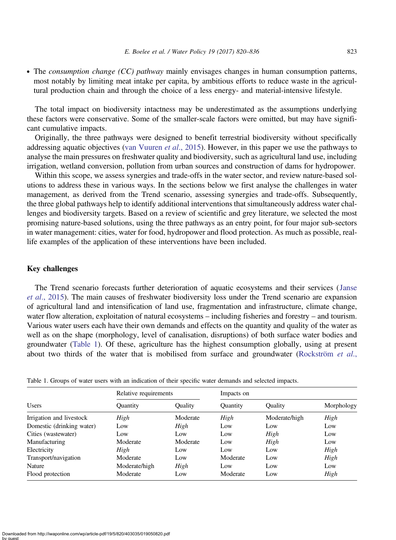<span id="page-3-0"></span>• The *consumption change (CC) pathway* mainly envisages changes in human consumption patterns, most notably by limiting meat intake per capita, by ambitious efforts to reduce waste in the agricultural production chain and through the choice of a less energy- and material-intensive lifestyle.

The total impact on biodiversity intactness may be underestimated as the assumptions underlying these factors were conservative. Some of the smaller-scale factors were omitted, but may have significant cumulative impacts.

Originally, the three pathways were designed to benefit terrestrial biodiversity without specifically addressing aquatic objectives ([van Vuuren](#page-15-0) et al., 2015). However, in this paper we use the pathways to analyse the main pressures on freshwater quality and biodiversity, such as agricultural land use, including irrigation, wetland conversion, pollution from urban sources and construction of dams for hydropower.

Within this scope, we assess synergies and trade-offs in the water sector, and review nature-based solutions to address these in various ways. In the sections below we first analyse the challenges in water management, as derived from the Trend scenario, assessing synergies and trade-offs. Subsequently, the three global pathways help to identify additional interventions that simultaneously address water challenges and biodiversity targets. Based on a review of scientific and grey literature, we selected the most promising nature-based solutions, using the three pathways as an entry point, for four major sub-sectors in water management: cities, water for food, hydropower and flood protection. As much as possible, reallife examples of the application of these interventions have been included.

## Key challenges

The Trend scenario forecasts further deterioration of aquatic ecosystems and their services ([Janse](#page-14-0) et al[., 2015](#page-14-0)). The main causes of freshwater biodiversity loss under the Trend scenario are expansion of agricultural land and intensification of land use, fragmentation and infrastructure, climate change, water flow alteration, exploitation of natural ecosystems – including fisheries and forestry – and tourism. Various water users each have their own demands and effects on the quantity and quality of the water as well as on the shape (morphology, level of canalisation, disruptions) of both surface water bodies and groundwater (Table 1). Of these, agriculture has the highest consumption globally, using at present about two thirds of the water that is mobilised from surface and groundwater ([Rockström](#page-15-0)  $et al.,$ 

| <b>Users</b>              | Relative requirements |          | Impacts on      |                 |            |
|---------------------------|-----------------------|----------|-----------------|-----------------|------------|
|                           | Ouantity              | Quality  | <b>Ouantity</b> | <b>Ouality</b>  | Morphology |
| Irrigation and livestock  | High                  | Moderate | High            | Moderate/high   | High       |
| Domestic (drinking water) | Low                   | High     | Low             | Low             | Low        |
| Cities (wastewater)       | Low                   | Low      | Low             | High            | Low        |
| Manufacturing             | Moderate              | Moderate | Low             | High            | Low        |
| Electricity               | High                  | Low      | Low             | Low             | High       |
| Transport/navigation      | Moderate              | Low      | Moderate        | Low             | High       |
| Nature                    | Moderate/high         | High     | Low             | L <sub>ow</sub> | Low        |
| Flood protection          | Moderate              | Low      | Moderate        | Low             | High       |

Table 1. Groups of water users with an indication of their specific water demands and selected impacts.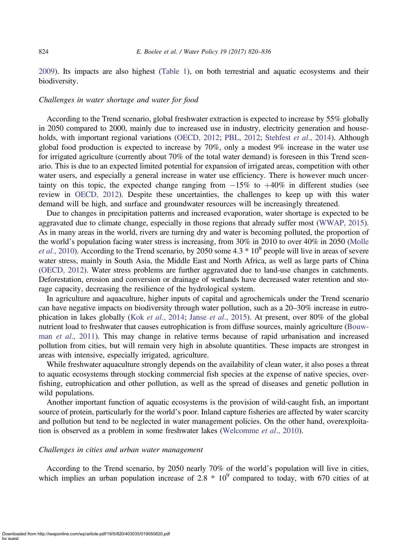[2009](#page-15-0)). Its impacts are also highest ([Table 1](#page-3-0)), on both terrestrial and aquatic ecosystems and their biodiversity.

# Challenges in water shortage and water for food

According to the Trend scenario, global freshwater extraction is expected to increase by 55% globally in 2050 compared to 2000, mainly due to increased use in industry, electricity generation and house-holds, with important regional variations [\(OECD, 2012;](#page-15-0) [PBL, 2012;](#page-15-0) [Stehfest](#page-15-0) et al., 2014). Although global food production is expected to increase by 70%, only a modest 9% increase in the water use for irrigated agriculture (currently about 70% of the total water demand) is foreseen in this Trend scenario. This is due to an expected limited potential for expansion of irrigated areas, competition with other water users, and especially a general increase in water use efficiency. There is however much uncertainty on this topic, the expected change ranging from  $-15\%$  to  $+40\%$  in different studies (see review in [OECD, 2012\)](#page-15-0). Despite these uncertainties, the challenges to keep up with this water demand will be high, and surface and groundwater resources will be increasingly threatened.

Due to changes in precipitation patterns and increased evaporation, water shortage is expected to be aggravated due to climate change, especially in those regions that already suffer most ([WWAP, 2015\)](#page-16-0). As in many areas in the world, rivers are turning dry and water is becoming polluted, the proportion of the world's population facing water stress is increasing, from 30% in 2010 to over 40% in 2050 [\(Molle](#page-14-0) *et al.*, 2010). According to the Trend scenario, by 2050 some  $4.3 * 10<sup>9</sup>$  people will live in areas of severe water stress, mainly in South Asia, the Middle East and North Africa, as well as large parts of China ([OECD, 2012](#page-15-0)). Water stress problems are further aggravated due to land-use changes in catchments. Deforestation, erosion and conversion or drainage of wetlands have decreased water retention and storage capacity, decreasing the resilience of the hydrological system.

In agriculture and aquaculture, higher inputs of capital and agrochemicals under the Trend scenario can have negative impacts on biodiversity through water pollution, such as a 20–30% increase in eutrophication in lakes globally (Kok *et al.*, 2014; Janse *et al.*, 2015). At present, over 80% of the global nutrient load to freshwater that causes eutrophication is from diffuse sources, mainly agriculture [\(Bouw-](#page-13-0)man et al[., 2011\)](#page-13-0). This may change in relative terms because of rapid urbanisation and increased pollution from cities, but will remain very high in absolute quantities. These impacts are strongest in areas with intensive, especially irrigated, agriculture.

While freshwater aquaculture strongly depends on the availability of clean water, it also poses a threat to aquatic ecosystems through stocking commercial fish species at the expense of native species, overfishing, eutrophication and other pollution, as well as the spread of diseases and genetic pollution in wild populations.

Another important function of aquatic ecosystems is the provision of wild-caught fish, an important source of protein, particularly for the world's poor. Inland capture fisheries are affected by water scarcity and pollution but tend to be neglected in water management policies. On the other hand, overexploita-tion is observed as a problem in some freshwater lakes [\(Welcomme](#page-16-0) et al., 2010).

#### Challenges in cities and urban water management

Downloaded from http://iwaponline.com/wp/article-pdf/19/5/820/403035/019050820.pdf

According to the Trend scenario, by 2050 nearly 70% of the world's population will live in cities, which implies an urban population increase of 2.8  $*$  10<sup>9</sup> compared to today, with 670 cities of at

by guest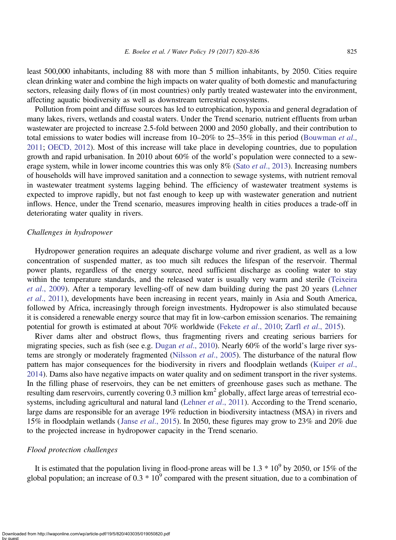least 500,000 inhabitants, including 88 with more than 5 million inhabitants, by 2050. Cities require clean drinking water and combine the high impacts on water quality of both domestic and manufacturing sectors, releasing daily flows of (in most countries) only partly treated wastewater into the environment, affecting aquatic biodiversity as well as downstream terrestrial ecosystems.

Pollution from point and diffuse sources has led to eutrophication, hypoxia and general degradation of many lakes, rivers, wetlands and coastal waters. Under the Trend scenario, nutrient effluents from urban wastewater are projected to increase 2.5-fold between 2000 and 2050 globally, and their contribution to total emissions to water bodies will increase from 10–20% to 25–35% in this period [\(Bouwman](#page-13-0) et al., [2011](#page-13-0); [OECD, 2012](#page-15-0)). Most of this increase will take place in developing countries, due to population growth and rapid urbanisation. In 2010 about 60% of the world's population were connected to a sewerage system, while in lower income countries this was only 8% (Sato *et al.*, 2013). Increasing numbers of households will have improved sanitation and a connection to sewage systems, with nutrient removal in wastewater treatment systems lagging behind. The efficiency of wastewater treatment systems is expected to improve rapidly, but not fast enough to keep up with wastewater generation and nutrient inflows. Hence, under the Trend scenario, measures improving health in cities produces a trade-off in deteriorating water quality in rivers.

## Challenges in hydropower

Hydropower generation requires an adequate discharge volume and river gradient, as well as a low concentration of suspended matter, as too much silt reduces the lifespan of the reservoir. Thermal power plants, regardless of the energy source, need sufficient discharge as cooling water to stay within the temperature standards, and the released water is usually very warm and sterile [\(Teixeira](#page-15-0) et al[., 2009](#page-15-0)). After a temporary levelling-off of new dam building during the past 20 years [\(Lehner](#page-14-0) et al[., 2011](#page-14-0)), developments have been increasing in recent years, mainly in Asia and South America, followed by Africa, increasingly through foreign investments. Hydropower is also stimulated because it is considered a renewable energy source that may fit in low-carbon emission scenarios. The remaining potential for growth is estimated at about 70% worldwide (Fekete et al[., 2010;](#page-14-0) Zarfl et al[., 2015\)](#page-16-0).

River dams alter and obstruct flows, thus fragmenting rivers and creating serious barriers for migrating species, such as fish (see e.g. Dugan *et al.*, 2010). Nearly 60% of the world's large river sys-tems are strongly or moderately fragmented [\(Nilsson](#page-14-0) et al., 2005). The disturbance of the natural flow pattern has major consequences for the biodiversity in rivers and floodplain wetlands ([Kuiper](#page-14-0) et al., [2014](#page-14-0)). Dams also have negative impacts on water quality and on sediment transport in the river systems. In the filling phase of reservoirs, they can be net emitters of greenhouse gases such as methane. The resulting dam reservoirs, currently covering 0.3 million km<sup>2</sup> globally, affect large areas of terrestrial eco-systems, including agricultural and natural land [\(Lehner](#page-14-0) et al., 2011). According to the Trend scenario, large dams are responsible for an average 19% reduction in biodiversity intactness (MSA) in rivers and 15% in floodplain wetlands (Janse et al[., 2015\)](#page-14-0). In 2050, these figures may grow to 23% and 20% due to the projected increase in hydropower capacity in the Trend scenario.

### Flood protection challenges

It is estimated that the population living in flood-prone areas will be  $1.3 * 10<sup>9</sup>$  by 2050, or 15% of the global population; an increase of  $0.3 * 10<sup>9</sup>$  compared with the present situation, due to a combination of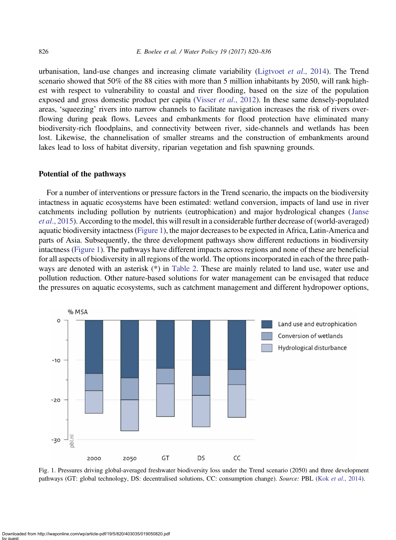<span id="page-6-0"></span>urbanisation, land-use changes and increasing climate variability ([Ligtvoet](#page-14-0) et al., 2014). The Trend scenario showed that 50% of the 88 cities with more than 5 million inhabitants by 2050, will rank highest with respect to vulnerability to coastal and river flooding, based on the size of the population exposed and gross domestic product per capita (Visser *et al.*, 2012). In these same densely-populated areas, 'squeezing' rivers into narrow channels to facilitate navigation increases the risk of rivers overflowing during peak flows. Levees and embankments for flood protection have eliminated many biodiversity-rich floodplains, and connectivity between river, side-channels and wetlands has been lost. Likewise, the channelisation of smaller streams and the construction of embankments around lakes lead to loss of habitat diversity, riparian vegetation and fish spawning grounds.

#### Potential of the pathways

For a number of interventions or pressure factors in the Trend scenario, the impacts on the biodiversity intactness in aquatic ecosystems have been estimated: wetland conversion, impacts of land use in river catchments including pollution by nutrients (eutrophication) and major hydrological changes ([Janse](#page-14-0) et al[., 2015\)](#page-14-0). According to the model, this will result in a considerable further decrease of (world-averaged) aquatic biodiversity intactness (Figure 1), the major decreases to be expected in Africa, Latin-America and parts of Asia. Subsequently, the three development pathways show different reductions in biodiversity intactness (Figure 1). The pathways have different impacts across regions and none of these are beneficial for all aspects of biodiversity in all regions of the world. The options incorporated in each of the three pathways are denoted with an asterisk (\*) in [Table 2](#page-7-0). These are mainly related to land use, water use and pollution reduction. Other nature-based solutions for water management can be envisaged that reduce the pressures on aquatic ecosystems, such as catchment management and different hydropower options,



Fig. 1. Pressures driving global-averaged freshwater biodiversity loss under the Trend scenario (2050) and three development pathways (GT: global technology, DS: decentralised solutions, CC: consumption change). Source: PBL (Kok et al[., 2014](#page-14-0)).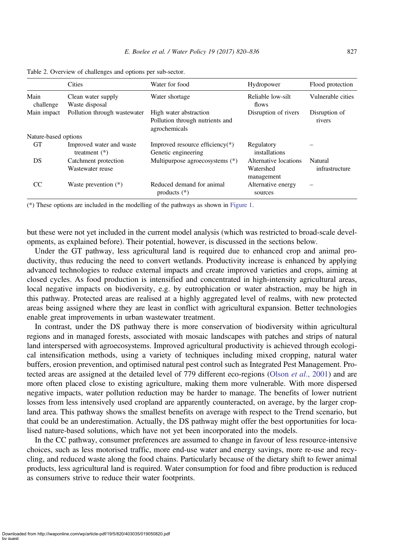|                      | <b>Cities</b>                               | Water for food                                                             | Hydropower                                       | Flood protection          |  |  |
|----------------------|---------------------------------------------|----------------------------------------------------------------------------|--------------------------------------------------|---------------------------|--|--|
| Main<br>challenge    | Clean water supply<br>Waste disposal        | Water shortage                                                             | Reliable low-silt<br>flows                       | Vulnerable cities         |  |  |
| Main impact          | Pollution through wastewater                | High water abstraction<br>Pollution through nutrients and<br>agrochemicals | Disruption of rivers                             | Disruption of<br>rivers   |  |  |
| Nature-based options |                                             |                                                                            |                                                  |                           |  |  |
| <b>GT</b>            | Improved water and waste<br>treatment $(*)$ | Improved resource efficiency(*)<br>Genetic engineering                     | Regulatory<br>installations                      |                           |  |  |
| DS                   | Catchment protection<br>Wastewater reuse    | Multipurpose agroecosystems (*)                                            | Alternative locations<br>Watershed<br>management | Natural<br>infrastructure |  |  |
| CC                   | Waste prevention $(*)$                      | Reduced demand for animal<br>products $(*)$                                | Alternative energy<br>sources                    |                           |  |  |

<span id="page-7-0"></span>Table 2. Overview of challenges and options per sub-sector.

(\*) These options are included in the modelling of the pathways as shown in [Figure 1.](#page-6-0)

but these were not yet included in the current model analysis (which was restricted to broad-scale developments, as explained before). Their potential, however, is discussed in the sections below.

Under the GT pathway, less agricultural land is required due to enhanced crop and animal productivity, thus reducing the need to convert wetlands. Productivity increase is enhanced by applying advanced technologies to reduce external impacts and create improved varieties and crops, aiming at closed cycles. As food production is intensified and concentrated in high-intensity agricultural areas, local negative impacts on biodiversity, e.g. by eutrophication or water abstraction, may be high in this pathway. Protected areas are realised at a highly aggregated level of realms, with new protected areas being assigned where they are least in conflict with agricultural expansion. Better technologies enable great improvements in urban wastewater treatment.

In contrast, under the DS pathway there is more conservation of biodiversity within agricultural regions and in managed forests, associated with mosaic landscapes with patches and strips of natural land interspersed with agroecosystems. Improved agricultural productivity is achieved through ecological intensification methods, using a variety of techniques including mixed cropping, natural water buffers, erosion prevention, and optimised natural pest control such as Integrated Pest Management. Pro-tected areas are assigned at the detailed level of 779 different eco-regions (Olson et al[., 2001\)](#page-15-0) and are more often placed close to existing agriculture, making them more vulnerable. With more dispersed negative impacts, water pollution reduction may be harder to manage. The benefits of lower nutrient losses from less intensively used cropland are apparently counteracted, on average, by the larger cropland area. This pathway shows the smallest benefits on average with respect to the Trend scenario, but that could be an underestimation. Actually, the DS pathway might offer the best opportunities for localised nature-based solutions, which have not yet been incorporated into the models.

In the CC pathway, consumer preferences are assumed to change in favour of less resource-intensive choices, such as less motorised traffic, more end-use water and energy savings, more re-use and recycling, and reduced waste along the food chains. Particularly because of the dietary shift to fewer animal products, less agricultural land is required. Water consumption for food and fibre production is reduced as consumers strive to reduce their water footprints.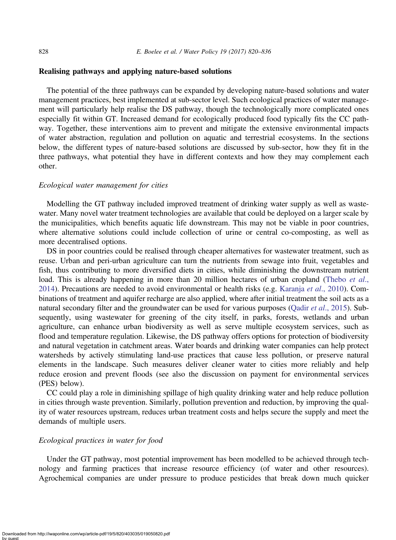## Realising pathways and applying nature-based solutions

The potential of the three pathways can be expanded by developing nature-based solutions and water management practices, best implemented at sub-sector level. Such ecological practices of water management will particularly help realise the DS pathway, though the technologically more complicated ones especially fit within GT. Increased demand for ecologically produced food typically fits the CC pathway. Together, these interventions aim to prevent and mitigate the extensive environmental impacts of water abstraction, regulation and pollution on aquatic and terrestrial ecosystems. In the sections below, the different types of nature-based solutions are discussed by sub-sector, how they fit in the three pathways, what potential they have in different contexts and how they may complement each other.

## Ecological water management for cities

Modelling the GT pathway included improved treatment of drinking water supply as well as wastewater. Many novel water treatment technologies are available that could be deployed on a larger scale by the municipalities, which benefits aquatic life downstream. This may not be viable in poor countries, where alternative solutions could include collection of urine or central co-composting, as well as more decentralised options.

DS in poor countries could be realised through cheaper alternatives for wastewater treatment, such as reuse. Urban and peri-urban agriculture can turn the nutrients from sewage into fruit, vegetables and fish, thus contributing to more diversified diets in cities, while diminishing the downstream nutrient load. This is already happening in more than 20 million hectares of urban cropland ([Thebo](#page-15-0) et al., [2014](#page-15-0)). Precautions are needed to avoid environmental or health risks (e.g. [Karanja](#page-14-0) et al., 2010). Combinations of treatment and aquifer recharge are also applied, where after initial treatment the soil acts as a natural secondary filter and the groundwater can be used for various purposes (Qadir et al[., 2015](#page-15-0)). Subsequently, using wastewater for greening of the city itself, in parks, forests, wetlands and urban agriculture, can enhance urban biodiversity as well as serve multiple ecosystem services, such as flood and temperature regulation. Likewise, the DS pathway offers options for protection of biodiversity and natural vegetation in catchment areas. Water boards and drinking water companies can help protect watersheds by actively stimulating land-use practices that cause less pollution, or preserve natural elements in the landscape. Such measures deliver cleaner water to cities more reliably and help reduce erosion and prevent floods (see also the discussion on payment for environmental services (PES) below).

CC could play a role in diminishing spillage of high quality drinking water and help reduce pollution in cities through waste prevention. Similarly, pollution prevention and reduction, by improving the quality of water resources upstream, reduces urban treatment costs and helps secure the supply and meet the demands of multiple users.

# Ecological practices in water for food

Under the GT pathway, most potential improvement has been modelled to be achieved through technology and farming practices that increase resource efficiency (of water and other resources). Agrochemical companies are under pressure to produce pesticides that break down much quicker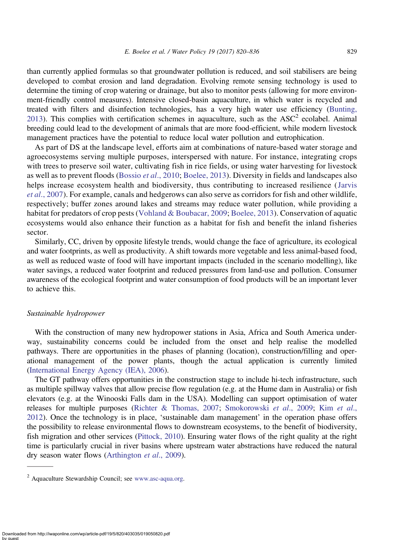than currently applied formulas so that groundwater pollution is reduced, and soil stabilisers are being developed to combat erosion and land degradation. Evolving remote sensing technology is used to determine the timing of crop watering or drainage, but also to monitor pests (allowing for more environment-friendly control measures). Intensive closed-basin aquaculture, in which water is recycled and treated with filters and disinfection technologies, has a very high water use efficiency ([Bunting,](#page-13-0) [2013](#page-13-0)). This complies with certification schemes in aquaculture, such as the  $ASC^2$  ecolabel. Animal breeding could lead to the development of animals that are more food-efficient, while modern livestock management practices have the potential to reduce local water pollution and eutrophication.

As part of DS at the landscape level, efforts aim at combinations of nature-based water storage and agroecosystems serving multiple purposes, interspersed with nature. For instance, integrating crops with trees to preserve soil water, cultivating fish in rice fields, or using water harvesting for livestock as well as to prevent floods (Bossio et al[., 2010;](#page-13-0) [Boelee, 2013](#page-13-0)). Diversity in fields and landscapes also helps increase ecosystem health and biodiversity, thus contributing to increased resilience ([Jarvis](#page-14-0) et al[., 2007\)](#page-14-0). For example, canals and hedgerows can also serve as corridors for fish and other wildlife, respectively; buffer zones around lakes and streams may reduce water pollution, while providing a habitat for predators of crop pests [\(Vohland & Boubacar, 2009](#page-16-0); [Boelee, 2013\)](#page-13-0). Conservation of aquatic ecosystems would also enhance their function as a habitat for fish and benefit the inland fisheries sector.

Similarly, CC, driven by opposite lifestyle trends, would change the face of agriculture, its ecological and water footprints, as well as productivity. A shift towards more vegetable and less animal-based food, as well as reduced waste of food will have important impacts (included in the scenario modelling), like water savings, a reduced water footprint and reduced pressures from land-use and pollution. Consumer awareness of the ecological footprint and water consumption of food products will be an important lever to achieve this.

# Sustainable hydropower

With the construction of many new hydropower stations in Asia, Africa and South America underway, sustainability concerns could be included from the onset and help realise the modelled pathways. There are opportunities in the phases of planning (location), construction/filling and operational management of the power plants, though the actual application is currently limited ([International Energy Agency \(IEA\), 2006](#page-14-0)).

The GT pathway offers opportunities in the construction stage to include hi-tech infrastructure, such as multiple spillway valves that allow precise flow regulation (e.g. at the Hume dam in Australia) or fish elevators (e.g. at the Winooski Falls dam in the USA). Modelling can support optimisation of water releases for multiple purposes [\(Richter & Thomas, 2007](#page-15-0); [Smokorowski](#page-15-0) et al., 2009; Kim [et al](#page-14-0)., [2012](#page-14-0)). Once the technology is in place, 'sustainable dam management' in the operation phase offers the possibility to release environmental flows to downstream ecosystems, to the benefit of biodiversity, fish migration and other services [\(Pittock, 2010](#page-15-0)). Ensuring water flows of the right quality at the right time is particularly crucial in river basins where upstream water abstractions have reduced the natural dry season water flows ([Arthington](#page-13-0) et al., 2009).

<sup>2</sup> Aquaculture Stewardship Council; see [www.asc-aqua.org.](http://www.asc-aqua.org)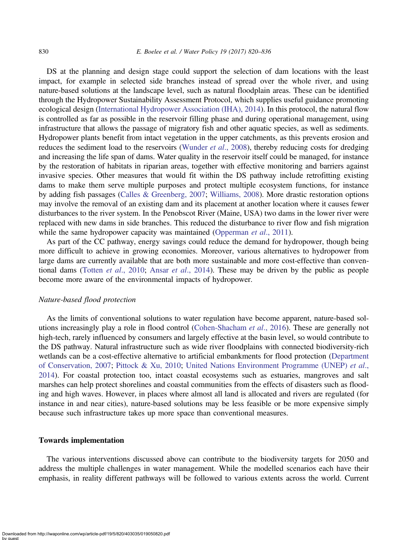DS at the planning and design stage could support the selection of dam locations with the least impact, for example in selected side branches instead of spread over the whole river, and using nature-based solutions at the landscape level, such as natural floodplain areas. These can be identified through the Hydropower Sustainability Assessment Protocol, which supplies useful guidance promoting ecological design [\(International Hydropower Association \(IHA\), 2014\)](#page-14-0). In this protocol, the natural flow is controlled as far as possible in the reservoir filling phase and during operational management, using infrastructure that allows the passage of migratory fish and other aquatic species, as well as sediments. Hydropower plants benefit from intact vegetation in the upper catchments, as this prevents erosion and reduces the sediment load to the reservoirs [\(Wunder](#page-16-0) *et al.*, 2008), thereby reducing costs for dredging and increasing the life span of dams. Water quality in the reservoir itself could be managed, for instance by the restoration of habitats in riparian areas, together with effective monitoring and barriers against invasive species. Other measures that would fit within the DS pathway include retrofitting existing dams to make them serve multiple purposes and protect multiple ecosystem functions, for instance by adding fish passages ([Calles & Greenberg, 2007](#page-13-0); [Williams, 2008\)](#page-16-0). More drastic restoration options may involve the removal of an existing dam and its placement at another location where it causes fewer disturbances to the river system. In the Penobscot River (Maine, USA) two dams in the lower river were replaced with new dams in side branches. This reduced the disturbance to river flow and fish migration while the same hydropower capacity was maintained ([Opperman](#page-15-0) *et al.*, 2011).

As part of the CC pathway, energy savings could reduce the demand for hydropower, though being more difficult to achieve in growing economies. Moreover, various alternatives to hydropower from large dams are currently available that are both more sustainable and more cost-effective than conventional dams (Totten et al[., 2010;](#page-15-0) Ansar et al[., 2014\)](#page-13-0). These may be driven by the public as people become more aware of the environmental impacts of hydropower.

#### Nature-based flood protection

As the limits of conventional solutions to water regulation have become apparent, nature-based solutions increasingly play a role in flood control [\(Cohen-Shacham](#page-13-0) et al., 2016). These are generally not high-tech, rarely influenced by consumers and largely effective at the basin level, so would contribute to the DS pathway. Natural infrastructure such as wide river floodplains with connected biodiversity-rich wetlands can be a cost-effective alternative to artificial embankments for flood protection ([Department](#page-14-0) [of Conservation, 2007;](#page-14-0) [Pittock & Xu, 2010;](#page-15-0) [United Nations Environment Programme \(UNEP\)](#page-15-0) et al., [2014](#page-15-0)). For coastal protection too, intact coastal ecosystems such as estuaries, mangroves and salt marshes can help protect shorelines and coastal communities from the effects of disasters such as flooding and high waves. However, in places where almost all land is allocated and rivers are regulated (for instance in and near cities), nature-based solutions may be less feasible or be more expensive simply because such infrastructure takes up more space than conventional measures.

#### Towards implementation

The various interventions discussed above can contribute to the biodiversity targets for 2050 and address the multiple challenges in water management. While the modelled scenarios each have their emphasis, in reality different pathways will be followed to various extents across the world. Current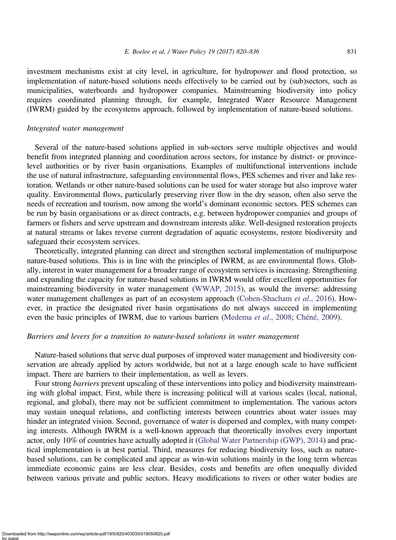investment mechanisms exist at city level, in agriculture, for hydropower and flood protection, so implementation of nature-based solutions needs effectively to be carried out by (sub)sectors, such as municipalities, waterboards and hydropower companies. Mainstreaming biodiversity into policy requires coordinated planning through, for example, Integrated Water Resource Management (IWRM) guided by the ecosystems approach, followed by implementation of nature-based solutions.

# Integrated water management

Several of the nature-based solutions applied in sub-sectors serve multiple objectives and would benefit from integrated planning and coordination across sectors, for instance by district- or provincelevel authorities or by river basin organisations. Examples of multifunctional interventions include the use of natural infrastructure, safeguarding environmental flows, PES schemes and river and lake restoration. Wetlands or other nature-based solutions can be used for water storage but also improve water quality. Environmental flows, particularly preserving river flow in the dry season, often also serve the needs of recreation and tourism, now among the world's dominant economic sectors. PES schemes can be run by basin organisations or as direct contracts, e.g. between hydropower companies and groups of farmers or fishers and serve upstream and downstream interests alike. Well-designed restoration projects at natural streams or lakes reverse current degradation of aquatic ecosystems, restore biodiversity and safeguard their ecosystem services.

Theoretically, integrated planning can direct and strengthen sectoral implementation of multipurpose nature-based solutions. This is in line with the principles of IWRM, as are environmental flows. Globally, interest in water management for a broader range of ecosystem services is increasing. Strengthening and expanding the capacity for nature-based solutions in IWRM would offer excellent opportunities for mainstreaming biodiversity in water management [\(WWAP, 2015](#page-16-0)), as would the inverse: addressing water management challenges as part of an ecosystem approach [\(Cohen-Shacham](#page-13-0) et al., 2016). However, in practice the designated river basin organisations do not always succeed in implementing even the basic principles of IWRM, due to various barriers [\(Medema](#page-14-0) *et al.*, 2008; [Chéné, 2009](#page-13-0)).

# Barriers and levers for a transition to nature-based solutions in water management

Nature-based solutions that serve dual purposes of improved water management and biodiversity conservation are already applied by actors worldwide, but not at a large enough scale to have sufficient impact. There are barriers to their implementation, as well as levers.

Four strong barriers prevent upscaling of these interventions into policy and biodiversity mainstreaming with global impact. First, while there is increasing political will at various scales (local, national, regional, and global), there may not be sufficient commitment to implementation. The various actors may sustain unequal relations, and conflicting interests between countries about water issues may hinder an integrated vision. Second, governance of water is dispersed and complex, with many competing interests. Although IWRM is a well-known approach that theoretically involves every important actor, only 10% of countries have actually adopted it [\(Global Water Partnership \(GWP\), 2014](#page-14-0)) and practical implementation is at best partial. Third, measures for reducing biodiversity loss, such as naturebased solutions, can be complicated and appear as win-win solutions mainly in the long term whereas immediate economic gains are less clear. Besides, costs and benefits are often unequally divided between various private and public sectors. Heavy modifications to rivers or other water bodies are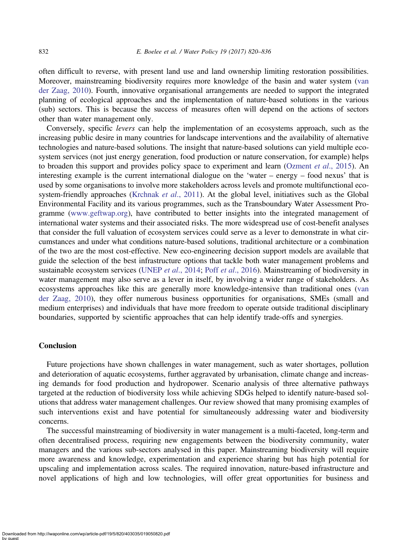often difficult to reverse, with present land use and land ownership limiting restoration possibilities. Moreover, mainstreaming biodiversity requires more knowledge of the basin and water system [\(van](#page-15-0) [der Zaag, 2010\)](#page-15-0). Fourth, innovative organisational arrangements are needed to support the integrated planning of ecological approaches and the implementation of nature-based solutions in the various (sub) sectors. This is because the success of measures often will depend on the actions of sectors other than water management only.

Conversely, specific levers can help the implementation of an ecosystems approach, such as the increasing public desire in many countries for landscape interventions and the availability of alternative technologies and nature-based solutions. The insight that nature-based solutions can yield multiple ecosystem services (not just energy generation, food production or nature conservation, for example) helps to broaden this support and provides policy space to experiment and learn ([Ozment](#page-15-0) et al., 2015). An interesting example is the current international dialogue on the 'water – energy – food nexus' that is used by some organisations to involve more stakeholders across levels and promote multifunctional eco-system-friendly approaches [\(Krchnak](#page-14-0) et al., 2011). At the global level, initiatives such as the Global Environmental Facility and its various programmes, such as the Transboundary Water Assessment Programme [\(www.geftwap.org\)](http://www.geftwap.org), have contributed to better insights into the integrated management of international water systems and their associated risks. The more widespread use of cost-benefit analyses that consider the full valuation of ecosystem services could serve as a lever to demonstrate in what circumstances and under what conditions nature-based solutions, traditional architecture or a combination of the two are the most cost-effective. New eco-engineering decision support models are available that guide the selection of the best infrastructure options that tackle both water management problems and sustainable ecosystem services (UNEP et al[., 2014;](#page-15-0) Poff et al[., 2016](#page-15-0)). Mainstreaming of biodiversity in water management may also serve as a lever in itself, by involving a wider range of stakeholders. As ecosystems approaches like this are generally more knowledge-intensive than traditional ones [\(van](#page-15-0) [der Zaag, 2010\)](#page-15-0), they offer numerous business opportunities for organisations, SMEs (small and medium enterprises) and individuals that have more freedom to operate outside traditional disciplinary boundaries, supported by scientific approaches that can help identify trade-offs and synergies.

## Conclusion

Future projections have shown challenges in water management, such as water shortages, pollution and deterioration of aquatic ecosystems, further aggravated by urbanisation, climate change and increasing demands for food production and hydropower. Scenario analysis of three alternative pathways targeted at the reduction of biodiversity loss while achieving SDGs helped to identify nature-based solutions that address water management challenges. Our review showed that many promising examples of such interventions exist and have potential for simultaneously addressing water and biodiversity concerns.

The successful mainstreaming of biodiversity in water management is a multi-faceted, long-term and often decentralised process, requiring new engagements between the biodiversity community, water managers and the various sub-sectors analysed in this paper. Mainstreaming biodiversity will require more awareness and knowledge, experimentation and experience sharing but has high potential for upscaling and implementation across scales. The required innovation, nature-based infrastructure and novel applications of high and low technologies, will offer great opportunities for business and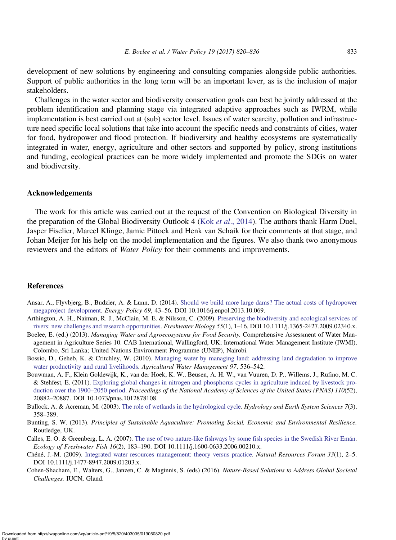<span id="page-13-0"></span>development of new solutions by engineering and consulting companies alongside public authorities. Support of public authorities in the long term will be an important lever, as is the inclusion of major stakeholders.

Challenges in the water sector and biodiversity conservation goals can best be jointly addressed at the problem identification and planning stage via integrated adaptive approaches such as IWRM, while implementation is best carried out at (sub) sector level. Issues of water scarcity, pollution and infrastructure need specific local solutions that take into account the specific needs and constraints of cities, water for food, hydropower and flood protection. If biodiversity and healthy ecosystems are systematically integrated in water, energy, agriculture and other sectors and supported by policy, strong institutions and funding, ecological practices can be more widely implemented and promote the SDGs on water and biodiversity.

### Acknowledgements

The work for this article was carried out at the request of the Convention on Biological Diversity in the preparation of the Global Biodiversity Outlook 4 (Kok et al[., 2014](#page-14-0)). The authors thank Harm Duel, Jasper Fiselier, Marcel Klinge, Jamie Pittock and Henk van Schaik for their comments at that stage, and Johan Meijer for his help on the model implementation and the figures. We also thank two anonymous reviewers and the editors of Water Policy for their comments and improvements.

## References

- Ansar, A., Flyvbjerg, B., Budzier, A. & Lunn, D. (2014). [Should we build more large dams? The actual costs of hydropower](http://dx.doi.org/10.1016/j.enpol.2013.10.069) [megaproject development.](http://dx.doi.org/10.1016/j.enpol.2013.10.069) Energy Policy 69, 43–56. DOI 10.1016/j.enpol.2013.10.069.
- Arthington, A. H., Naiman, R. J., McClain, M. E. & Nilsson, C. (2009). [Preserving the biodiversity and ecological services of](http://dx.doi.org/10.1111/j.1365-2427.2009.02340.x) [rivers: new challenges and research opportunities.](http://dx.doi.org/10.1111/j.1365-2427.2009.02340.x) Freshwater Biology 55(1), 1–16. DOI 10.1111/j.1365-2427.2009.02340.x.
- Boelee, E. (ed.) (2013). Managing Water and Agroecosystems for Food Security. Comprehensive Assessment of Water Management in Agriculture Series 10. CAB International, Wallingford, UK; International Water Management Institute (IWMI), Colombo, Sri Lanka; United Nations Environment Programme (UNEP), Nairobi.
- Bossio, D., Geheb, K. & Critchley, W. (2010). [Managing water by managing land: addressing land degradation to improve](http://dx.doi.org/10.1016/j.agwat.2008.12.001) [water productivity and rural livelihoods.](http://dx.doi.org/10.1016/j.agwat.2008.12.001) Agricultural Water Management 97, 536–542.
- Bouwman, A. F., Klein Goldewijk, K., van der Hoek, K. W., Beusen, A. H. W., van Vuuren, D. P., Willems, J., Rufino, M. C. & Stehfest, E. (2011). [Exploring global changes in nitrogen and phosphorus cycles in agriculture induced by livestock pro](http://dx.doi.org/10.1073/pnas.1012878108)[duction over the 1900](http://dx.doi.org/10.1073/pnas.1012878108)–2050 period. Proceedings of the National Academy of Sciences of the United States (PNAS) 110(52), 20882–20887. DOI 10.1073/pnas.1012878108.
- Bullock, A. & Acreman, M. (2003). [The role of wetlands in the hydrological cycle](http://dx.doi.org/10.5194/hess-7-358-2003). Hydrology and Earth System Sciences 7(3), 358–389.
- Bunting, S. W. (2013). Principles of Sustainable Aquaculture: Promoting Social, Economic and Environmental Resilience. Routledge, UK.
- Calles, E. O. & Greenberg, L. A. (2007). [The use of two nature-like fishways by some fish species in the Swedish River Emån.](http://dx.doi.org/10.1111/j.1600-0633.2006.00210.x) Ecology of Freshwater Fish 16(2), 183–190. DOI 10.1111/j.1600-0633.2006.00210.x.
- Chéné, J.-M. (2009). [Integrated water resources management: theory versus practice.](http://dx.doi.org/10.1111/j.1477-8947.2009.01203.x) Natural Resources Forum 33(1), 2–5. DOI 10.1111/j.1477-8947.2009.01203.x.
- Cohen-Shacham, E., Walters, G., Janzen, C. & Maginnis, S. (eds) (2016). Nature-Based Solutions to Address Global Societal Challenges. IUCN, Gland.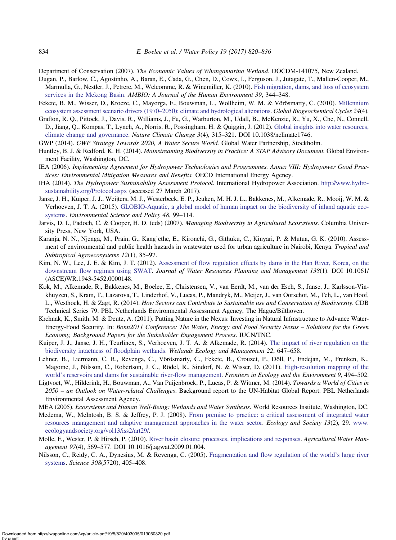<span id="page-14-0"></span>Department of Conservation (2007). The Economic Values of Whangamarino Wetland. DOCDM-141075, New Zealand.

- Dugan, P., Barlow, C., Agostinho, A., Baran, E., Cada, G., Chen, D., Cowx, I., Ferguson, J., Jutagate, T., Mallen-Cooper, M., Marmulla, G., Nestler, J., Petrere, M., Welcomme, R. & Winemiller, K. (2010). [Fish migration, dams, and loss of ecosystem](http://dx.doi.org/10.1007/s13280-010-0036-1) [services in the Mekong Basin.](http://dx.doi.org/10.1007/s13280-010-0036-1) AMBIO: A Journal of the Human Environment 39, 344–348.
- Fekete, B. M., Wisser, D., Kroeze, C., Mayorga, E., Bouwman, L., Wollheim, W. M. & Vörösmarty, C. (2010). [Millennium](http://dx.doi.org/10.1029/2009GB003593) [ecosystem assessment scenario drivers \(1970](http://dx.doi.org/10.1029/2009GB003593)–2050): climate and hydrological alterations. Global Biogeochemical Cycles 24(4).

Grafton, R. Q., Pittock, J., Davis, R., Williams, J., Fu, G., Warburton, M., Udall, B., McKenzie, R., Yu, X., Che, N., Connell, D., Jiang, Q., Kompas, T., Lynch, A., Norris, R., Possingham, H. & Quiggin, J. (2012). [Global insights into water resources,](http://dx.doi.org/10.1038/nclimate1746) [climate change and governance](http://dx.doi.org/10.1038/nclimate1746). Nature Climate Change 3(4), 315–321. DOI 10.1038/nclimate1746.

GWP (2014). GWP Strategy Towards 2020, A Water Secure World. Global Water Partnership, Stockholm.

- Huntley, B. J. & Redford, K. H. (2014). Mainstreaming Biodiversity in Practice: A STAP Advisory Document. Global Environment Facility, Washington, DC.
- IEA (2006). Implementing Agreement for Hydropower Technologies and Programmes. Annex VIII: Hydropower Good Practices: Environmental Mitigation Measures and Benefits. OECD International Energy Agency.
- IHA (2014). The Hydropower Sustainability Assessment Protocol. International Hydropower Association. [http://www.hydro](http://www.hydrosustainability.org/Protocol.aspx)[sustainability.org/Protocol.aspx](http://www.hydrosustainability.org/Protocol.aspx) (accessed 27 March 2017).
- Janse, J. H., Kuiper, J. J., Weijters, M. J., Westerbeek, E. P., Jeuken, M. H. J. L., Bakkenes, M., Alkemade, R., Mooij, W. M. & Verhoeven, J. T. A. (2015). [GLOBIO-Aquatic, a global model of human impact on the biodiversity of inland aquatic eco](http://dx.doi.org/10.1016/j.envsci.2014.12.007)[systems](http://dx.doi.org/10.1016/j.envsci.2014.12.007). Environmental Science and Policy 48, 99–114.
- Jarvis, D. I., Padoch, C. & Cooper, H. D. (eds) (2007). Managing Biodiversity in Agricultural Ecosystems. Columbia University Press, New York, USA.
- Karanja, N. N., Njenga, M., Prain, G., Kang'ethe, E., Kironchi, G., Githuku, C., Kinyari, P. & Mutua, G. K. (2010). Assessment of environmental and public health hazards in wastewater used for urban agriculture in Nairobi, Kenya. Tropical and Subtropical Agroecosystems 12(1), 85–97.
- Kim, N. W., Lee, J. E. & Kim, J. T. (2012). [Assessment of flow regulation effects by dams in the Han River, Korea, on the](http://dx.doi.org/10.1061/(ASCE)WR.1943-5452.0000148) [downstream flow regimes using SWAT.](http://dx.doi.org/10.1061/(ASCE)WR.1943-5452.0000148) Journal of Water Resources Planning and Management 138(1). DOI 10.1061/ (ASCE)WR.1943-5452.0000148.
- Kok, M., Alkemade, R., Bakkenes, M., Boelee, E., Christensen, V., van Eerdt, M., van der Esch, S., Janse, J., Karlsson-Vinkhuyzen, S., Kram, T., Lazarova, T., Linderhof, V., Lucas, P., Mandryk, M., Meijer, J., van Oorschot, M., Teh, L., van Hoof, L., Westhoek, H. & Zagt, R. (2014). How Sectors can Contribute to Sustainable use and Conservation of Biodiversity. CDB Technical Series 79. PBL Netherlands Environmental Assessment Agency, The Hague/Bilthoven.
- Krchnak, K., Smith, M. & Deutz, A. (2011). Putting Nature in the Nexus: Investing in Natural Infrastructure to Advance Water-Energy-Food Security. In: Bonn2011 Conference: The Water, Energy and Food Security Nexus – Solutions for the Green Economy, Background Papers for the Stakeholder Engagement Process. IUCN/TNC.
- Kuiper, J. J., Janse, J. H., Teurlincx, S., Verhoeven, J. T. A. & Alkemade, R. (2014). [The impact of river regulation on the](http://dx.doi.org/10.1007/s11273-014-9360-8) [biodiversity intactness of floodplain wetlands](http://dx.doi.org/10.1007/s11273-014-9360-8). Wetlands Ecology and Management 22, 647–658.
- Lehner, B., Liermann, C. R., Revenga, C., Vörösmarty, C., Fekete, B., Crouzet, P., Döll, P., Endejan, M., Frenken, K., Magome, J., Nilsson, C., Robertson, J. C., Rödel, R., Sindorf, N. & Wisser, D. (2011). [High-resolution mapping of the](http://dx.doi.org/10.1890/100125) world'[s reservoirs and dams for sustainable river-flow management](http://dx.doi.org/10.1890/100125). Frontiers in Ecology and the Environment 9, 494–502.
- Ligtvoet, W., Hilderink, H., Bouwman, A., Van Puijenbroek, P., Lucas, P. & Witmer, M. (2014). Towards a World of Cities in 2050 – an Outlook on Water-related Challenges. Background report to the UN-Habitat Global Report. PBL Netherlands Environmental Assessment Agency.
- MEA (2005). Ecosystems and Human Well-Being: Wetlands and Water Synthesis. World Resources Institute, Washington, DC.
- Medema, W., McIntosh, B. S. & Jeffrey, P. J. (2008). [From premise to practice: a critical assessment of integrated water](http://dx.doi.org/10.5751/ES-02611-130229) [resources management and adaptive management approaches in the water sector.](http://dx.doi.org/10.5751/ES-02611-130229) Ecology and Society 13(2), 29. [www.](http://www.ecologyandsociety.org/vol13/iss2/art29/) [ecologyandsociety.org/vol13/iss2/art29/.](http://www.ecologyandsociety.org/vol13/iss2/art29/)
- Molle, F., Wester, P. & Hirsch, P. (2010). [River basin closure: processes, implications and responses](http://dx.doi.org/10.1016/j.agwat.2009.01.004). Agricultural Water Management 97(4), 569–577. DOI 10.1016/j.agwat.2009.01.004.
- Nilsson, C., Reidy, C. A., Dynesius, M. & Revenga, C. (2005). [Fragmentation and flow regulation of the world](http://dx.doi.org/10.1126/science.1107887)'s large river [systems](http://dx.doi.org/10.1126/science.1107887). Science 308(5720), 405–408.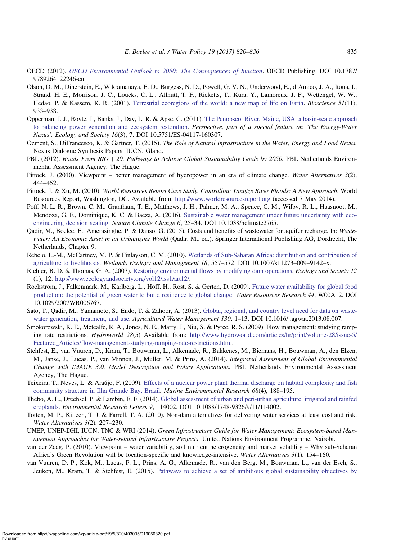- <span id="page-15-0"></span>OECD (2012). [OECD Environmental Outlook to 2050: The Consequences of Inaction](http://dx.doi.org/10.1787/9789264122246-en). OECD Publishing. DOI 10.1787/ 9789264122246-en.
- Olson, D. M., Dinerstein, E., Wikramanaya, E. D., Burgess, N. D., Powell, G. V. N., Underwood, E., d'Amico, J. A., Itoua, I., Strand, H. E., Morrison, J. C., Loucks, C. L., Allnutt, T. F., Ricketts, T., Kura, Y., Lamoreux, J. F., Wettengel, W. W., Hedao, P. & Kassem, K. R. (2001). [Terrestrial ecoregions of the world: a new map of life on Earth](http://dx.doi.org/10.1641/0006-3568(2001)051[0933:TEOTWA]2.0.CO;2). Bioscience 51(11), 933–938.
- Opperman, J. J., Royte, J., Banks, J., Day, L. R. & Apse, C. (2011). [The Penobscot River, Maine, USA: a basin-scale approach](http://dx.doi.org/10.5751/ES-04117-160307) [to balancing power generation and ecosystem restoration.](http://dx.doi.org/10.5751/ES-04117-160307) Perspective, part of a special feature on 'The Energy-Water Nexus'. Ecology and Society 16(3), 7. DOI 10.5751/ES-04117-160307.
- Ozment, S., DiFrancesco, K. & Gartner, T. (2015). The Role of Natural Infrastructure in the Water, Energy and Food Nexus. Nexus Dialogue Synthesis Papers. IUCN, Gland.
- PBL (2012). Roads From RIO + 20. Pathways to Achieve Global Sustainability Goals by 2050. PBL Netherlands Environmental Assessment Agency, The Hague.
- Pittock, J. (2010). Viewpoint better management of hydropower in an era of climate change. Water Alternatives 3(2), 444–452.
- Pittock, J. & Xu, M. (2010). World Resources Report Case Study. Controlling Yangtze River Floods: A New Approach. World Resources Report, Washington, DC. Available from: <http://www.worldresourcesreport.org> (accessed 7 May 2014).
- Poff, N. L. R., Brown, C. M., Grantham, T. E., Matthews, J. H., Palmer, M. A., Spence, C. M., Wilby, R. L., Haasnoot, M., Mendoza, G. F., Dominique, K. C. & Baeza, A. (2016). [Sustainable water management under future uncertainty with eco](http://dx.doi.org/10.1038/nclimate2765)[engineering decision scaling.](http://dx.doi.org/10.1038/nclimate2765) Nature Climate Change 6, 25–34. DOI 10.1038/nclimate2765.
- Qadir, M., Boelee, E., Amerasinghe, P. & Danso, G. (2015). Costs and benefits of wastewater for aquifer recharge. In: Wastewater: An Economic Asset in an Urbanizing World (Qadir, M., ed.). Springer International Publishing AG, Dordrecht, The Netherlands, Chapter 9.
- Rebelo, L.-M., McCartney, M. P. & Finlayson, C. M. (2010). [Wetlands of Sub-Saharan Africa: distribution and contribution of](http://dx.doi.org/10.1007/s11273-009-9142-x) [agriculture to livelihoods.](http://dx.doi.org/10.1007/s11273-009-9142-x) Wetlands Ecology and Management 18, 557–572. DOI 10.1007/s11273–009–9142-x.
- Richter, B. D. & Thomas, G. A. (2007). [Restoring environmental flows by modifying dam operations.](http://dx.doi.org/10.5751/ES-02014-120112) Ecology and Society 12 (1), 12. <http://www.ecologyandsociety.org/vol12/iss1/art12/>.
- Rockström, J., Falkenmark, M., Karlberg, L., Hoff, H., Rost, S. & Gerten, D. (2009). [Future water availability for global food](http://dx.doi.org/10.1029/2007WR006767) [production: the potential of green water to build resilience to global change](http://dx.doi.org/10.1029/2007WR006767). Water Resources Research 44, W00A12. DOI 10.1029/2007WR006767.
- Sato, T., Qadir, M., Yamamoto, S., Endo, T. & Zahoor, A. (2013). [Global, regional, and country level need for data on waste](http://dx.doi.org/10.1016/j.agwat.2013.08.007)[water generation, treatment, and use](http://dx.doi.org/10.1016/j.agwat.2013.08.007). Agricultural Water Management 130, 1-13. DOI 10.1016/j.agwat.2013.08.007.
- Smokorowski, K. E., Metcalfe, R. A., Jones, N. E., Marty, J., Niu, S. & Pyrce, R. S. (2009). Flow management: studying ramping rate restrictions. Hydroworld 28(5) Available from: [http://www.hydroworld.com/articles/hr/print/volume-28/issue-5/](http://www.hydroworld.com/articles/hr/print/volume-28/issue-5/Featured_Articles/flow-management-studying-ramping-rate-restrictions.html) [Featured\\_Articles/flow-management-studying-ramping-rate-restrictions.html](http://www.hydroworld.com/articles/hr/print/volume-28/issue-5/Featured_Articles/flow-management-studying-ramping-rate-restrictions.html).
- Stehfest, E., van Vuuren, D., Kram, T., Bouwman, L., Alkemade, R., Bakkenes, M., Biemans, H., Bouwman, A., den Elzen, M., Janse, J., Lucas, P., van Minnen, J., Muller, M. & Prins, A. (2014). Integrated Assessment of Global Environmental Change with IMAGE 3.0. Model Description and Policy Applications. PBL Netherlands Environmental Assessment Agency, The Hague.
- Teixeira, T., Neves, L. & Araújo, F. (2009). [Effects of a nuclear power plant thermal discharge on habitat complexity and fish](http://dx.doi.org/10.1016/j.marenvres.2009.06.004) [community structure in Ilha Grande Bay, Brazil](http://dx.doi.org/10.1016/j.marenvres.2009.06.004). Marine Environmental Research 68(4), 188-195.
- Thebo, A. L., Drechsel, P. & Lambin, E. F. (2014). [Global assessment of urban and peri-urban agriculture: irrigated and rainfed](http://dx.doi.org/10.1088/1748-9326/9/11/114002) [croplands.](http://dx.doi.org/10.1088/1748-9326/9/11/114002) Environmental Research Letters 9, 114002. DOI 10.1088/1748-9326/9/11/114002.
- Totten, M. P., Killeen, T. J. & Farrell, T. A. (2010). Non-dam alternatives for delivering water services at least cost and risk. Water Alternatives 3(2), 207–230.
- UNEP, UNEP-DHI, IUCN, TNC & WRI (2014). Green Infrastructure Guide for Water Management: Ecosystem-based Management Approaches for Water-related Infrastructure Projects. United Nations Environment Programme, Nairobi.
- van der Zaag, P. (2010). Viewpoint water variability, soil nutrient heterogeneity and market volatility Why sub-Saharan Africa's Green Revolution will be location-specific and knowledge-intensive. Water Alternatives 3(1), 154–160.
- van Vuuren, D. P., Kok, M., Lucas, P. L., Prins, A. G., Alkemade, R., van den Berg, M., Bouwman, L., van der Esch, S., Jeuken, M., Kram, T. & Stehfest, E. (2015). [Pathways to achieve a set of ambitious global sustainability objectives by](http://dx.doi.org/10.1016/j.techfore.2015.03.005)